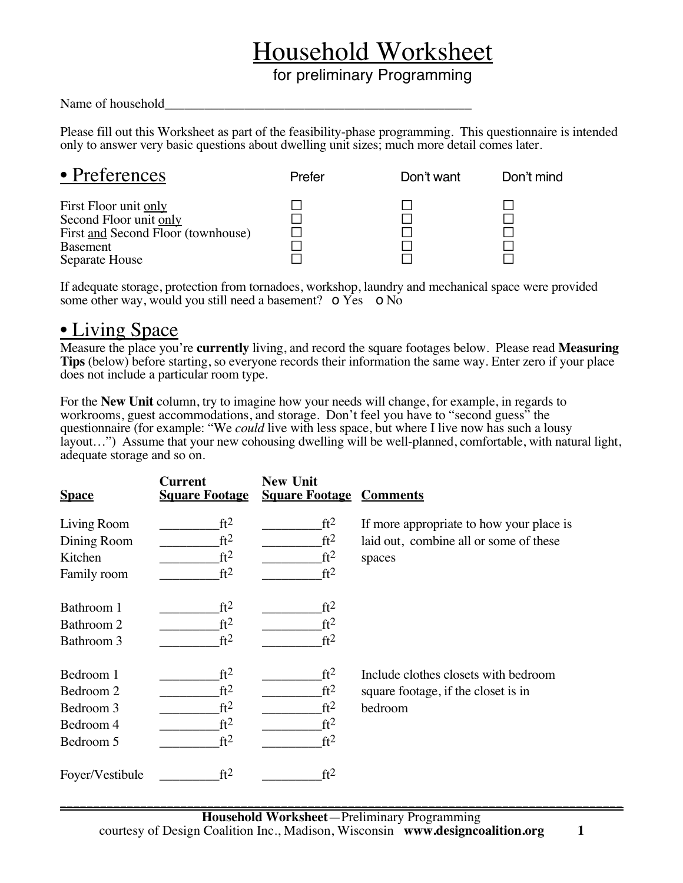# Household Worksheet

for preliminary Programming

#### Name of household

Please fill out this Worksheet as part of the feasibility-phase programming. This questionnaire is intended only to answer very basic questions about dwelling unit sizes; much more detail comes later.

| • Preferences                                                                                                              | Prefer | Don't want | Don't mind |
|----------------------------------------------------------------------------------------------------------------------------|--------|------------|------------|
| First Floor unit only<br>Second Floor unit only<br>First and Second Floor (townhouse)<br><b>Basement</b><br>Separate House |        |            |            |

If adequate storage, protection from tornadoes, workshop, laundry and mechanical space were provided some other way, would you still need a basement? **o** Yes **o** No

## • Living Space

Measure the place you're **currently** living, and record the square footages below. Please read **Measuring Tips** (below) before starting, so everyone records their information the same way. Enter zero if your place does not include a particular room type.

For the **New Unit** column, try to imagine how your needs will change, for example, in regards to workrooms, guest accommodations, and storage. Don't feel you have to "second guess" the questionnaire (for example: "We *could* live with less space, but where I live now has such a lousy layout…") Assume that your new cohousing dwelling will be well-planned, comfortable, with natural light, adequate storage and so on.

| <b>Space</b>    | <b>Current</b><br><b>Square Footage</b> | <b>New Unit</b><br><b>Square Footage Comments</b> |                                          |
|-----------------|-----------------------------------------|---------------------------------------------------|------------------------------------------|
| Living Room     | ft <sup>2</sup>                         | ft <sup>2</sup>                                   | If more appropriate to how your place is |
| Dining Room     | ft <sup>2</sup>                         | ft <sup>2</sup>                                   | laid out, combine all or some of these   |
| Kitchen         | ft <sup>2</sup>                         | ft <sup>2</sup>                                   | spaces                                   |
| Family room     | ft <sup>2</sup>                         | ft <sup>2</sup>                                   |                                          |
| Bathroom 1      | ft <sup>2</sup>                         | ft <sup>2</sup>                                   |                                          |
| Bathroom 2      | ft <sup>2</sup>                         | ft <sup>2</sup>                                   |                                          |
| Bathroom 3      | ft <sup>2</sup>                         | ft <sup>2</sup>                                   |                                          |
| Bedroom 1       | ft <sup>2</sup>                         | ft <sup>2</sup>                                   | Include clothes closets with bedroom     |
| Bedroom 2       | ft <sup>2</sup>                         | ft <sup>2</sup>                                   | square footage, if the closet is in      |
| Bedroom 3       | ft <sup>2</sup>                         | ft <sup>2</sup>                                   | bedroom                                  |
| Bedroom 4       | ft <sup>2</sup>                         | ft <sup>2</sup>                                   |                                          |
| Bedroom 5       | ft <sup>2</sup>                         | ft <sup>2</sup>                                   |                                          |
| Foyer/Vestibule | ft <sup>2</sup>                         | ft <sup>2</sup>                                   |                                          |

**\_\_\_\_\_\_\_\_\_\_\_\_\_\_\_\_\_\_\_\_\_\_\_\_\_\_\_\_\_\_\_\_\_\_\_\_\_\_\_\_\_\_\_\_\_\_\_\_\_\_\_\_\_\_\_\_\_\_\_\_\_\_\_\_\_\_\_\_\_\_\_\_\_\_\_\_\_\_\_\_\_\_\_\_**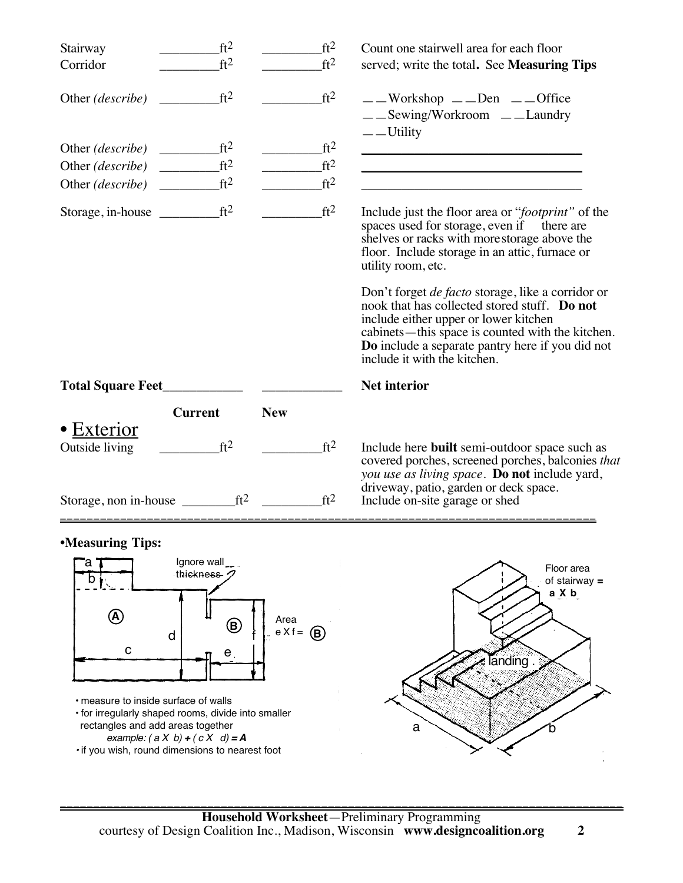| Stairway<br>Corridor                                       | ft <sup>2</sup><br>ft <sup>2</sup> | ft <sup>2</sup><br>ft <sup>2</sup> | Count one stairwell area for each floor<br>served; write the total. See <b>Measuring Tips</b>                                                                                                                                                                                                                                                                                                                                               |
|------------------------------------------------------------|------------------------------------|------------------------------------|---------------------------------------------------------------------------------------------------------------------------------------------------------------------------------------------------------------------------------------------------------------------------------------------------------------------------------------------------------------------------------------------------------------------------------------------|
| Other <i>(describe)</i>                                    | ft <sup>2</sup>                    | ft <sup>2</sup>                    | $\_\_\_$ Workshop $\_\_\_$ Den $\_\_\_$ Office<br>$\_\_\_$ Sewing/Workroom $\_\_\_\_$ Laundry<br>$\rule{1em}{0.15mm}$ $\qquad$ $\qquad$ $\qquad$ $\qquad$ $\qquad$ $\qquad$ $\qquad$ $\qquad$ $\qquad$ $\qquad$ $\qquad$ $\qquad$ $\qquad$ $\qquad$ $\qquad$ $\qquad$ $\qquad$ $\qquad$ $\qquad$ $\qquad$ $\qquad$ $\qquad$ $\qquad$ $\qquad$ $\qquad$ $\qquad$ $\qquad$ $\qquad$ $\qquad$ $\qquad$ $\qquad$ $\qquad$ $\qquad$ $\qquad$ $\$ |
|                                                            |                                    | ft <sup>2</sup>                    |                                                                                                                                                                                                                                                                                                                                                                                                                                             |
| Other $(describe)$                                         | ft <sup>2</sup>                    | ft <sup>2</sup>                    | <u> 1989 - Johann Stein, mars an deutscher Stein († 1989)</u>                                                                                                                                                                                                                                                                                                                                                                               |
|                                                            | ft <sup>2</sup>                    | ft <sup>2</sup>                    |                                                                                                                                                                                                                                                                                                                                                                                                                                             |
| Storage, in-house $f{t^2}$                                 |                                    | ft <sup>2</sup>                    | Include just the floor area or " <i>footprint</i> " of the<br>spaces used for storage, even if there are<br>shelves or racks with more storage above the<br>floor. Include storage in an attic, furnace or<br>utility room, etc.                                                                                                                                                                                                            |
|                                                            |                                    |                                    | Don't forget <i>de facto</i> storage, like a corridor or<br>nook that has collected stored stuff. Do not<br>include either upper or lower kitchen<br>cabinets—this space is counted with the kitchen.<br>Do include a separate pantry here if you did not<br>include it with the kitchen.                                                                                                                                                   |
| Total Square Feet                                          |                                    |                                    | <b>Net interior</b>                                                                                                                                                                                                                                                                                                                                                                                                                         |
|                                                            | <b>Current</b>                     | <b>New</b>                         |                                                                                                                                                                                                                                                                                                                                                                                                                                             |
| • Exterior<br>Outside living                               | ft <sup>2</sup>                    | ft <sup>2</sup>                    | Include here <b>built</b> semi-outdoor space such as<br>covered porches, screened porches, balconies that<br>you use as living space. Do not include yard,                                                                                                                                                                                                                                                                                  |
| Storage, non in-house $\rule{1em}{0.15mm}$ ft <sup>2</sup> |                                    | ft <sup>2</sup>                    | driveway, patio, garden or deck space.<br>Include on-site garage or shed                                                                                                                                                                                                                                                                                                                                                                    |

### **•Measuring Tips:**



*•* if you wish, round dimensions to nearest foot

of stairway **= a X b**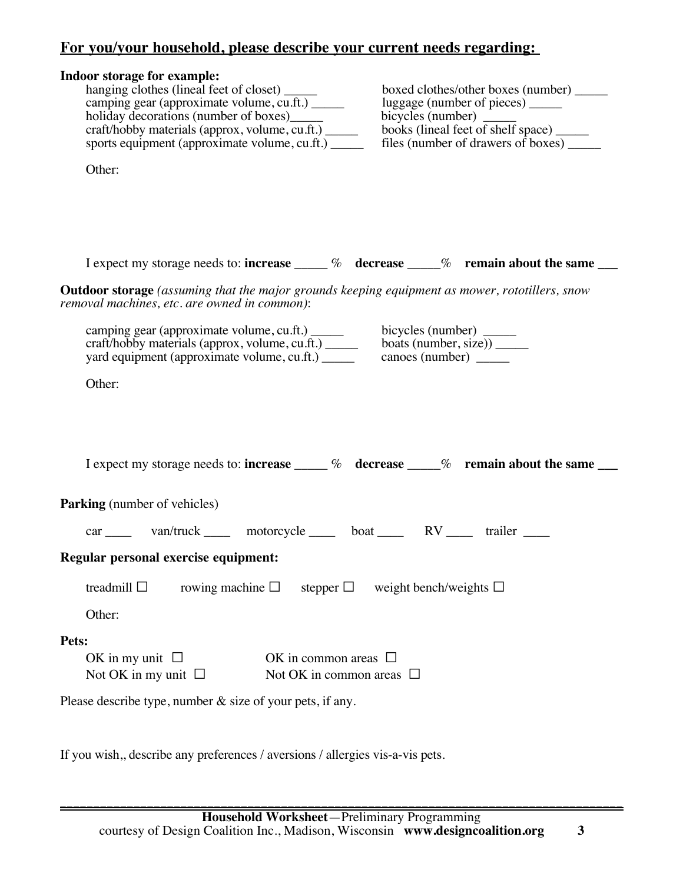# **For you/your household, please describe your current needs regarding:**

| Indoor storage for example:<br>hanging clothes (lineal feet of closet) _____<br>boxed clothes/other boxes (number) ______<br>camping gear (approximate volume, cu.ft.) _____<br>luggage (number of pieces) _______<br>holiday decorations (number of boxes)_______<br>books (lineal feet of shelf space) ______<br>craft/hobby materials (approx, volume, cu.ft.) ______<br>sports equipment (approximate volume, cu.ft.) ______<br>files (number of drawers of boxes) _______ |
|--------------------------------------------------------------------------------------------------------------------------------------------------------------------------------------------------------------------------------------------------------------------------------------------------------------------------------------------------------------------------------------------------------------------------------------------------------------------------------|
| Other:                                                                                                                                                                                                                                                                                                                                                                                                                                                                         |
| I expect my storage needs to: increase $\_\_\_\%$ decrease $\_\_\%$ remain about the same $\_\_\_\$                                                                                                                                                                                                                                                                                                                                                                            |
| <b>Outdoor storage</b> (assuming that the major grounds keeping equipment as mower, rototillers, snow<br>removal machines, etc. are owned in common):                                                                                                                                                                                                                                                                                                                          |
| camping gear (approximate volume, cu.ft.)<br>craft/hobby materials (approx, volume, cu.ft.)<br>bicycles (number) $\frac{\text{bicycles (number)}}{\text{basis (number, size)}}$<br>yard equipment (approximate volume, cu.ft.) ______                                                                                                                                                                                                                                          |
| Other:                                                                                                                                                                                                                                                                                                                                                                                                                                                                         |
| I expect my storage needs to: increase $\_\_\_\%$ decrease $\_\_\%$ remain about the same $\_\_\_\$                                                                                                                                                                                                                                                                                                                                                                            |
| <b>Parking</b> (number of vehicles)                                                                                                                                                                                                                                                                                                                                                                                                                                            |
| car _____ van/truck _____ motorcycle _____ boat _____ RV _____ trailer ____                                                                                                                                                                                                                                                                                                                                                                                                    |
| Regular personal exercise equipment:                                                                                                                                                                                                                                                                                                                                                                                                                                           |
| treadmill $\square$<br>rowing machine $\square$<br>weight bench/weights $\square$<br>stepper $\Box$                                                                                                                                                                                                                                                                                                                                                                            |
| Other:                                                                                                                                                                                                                                                                                                                                                                                                                                                                         |
| Pets:                                                                                                                                                                                                                                                                                                                                                                                                                                                                          |
| OK in my unit $\Box$<br>OK in common areas $\Box$<br>Not OK in my unit $\Box$<br>Not OK in common areas $\Box$                                                                                                                                                                                                                                                                                                                                                                 |
| Please describe type, number $\&$ size of your pets, if any.                                                                                                                                                                                                                                                                                                                                                                                                                   |

If you wish,, describe any preferences / aversions / allergies vis-a-vis pets.

**\_\_\_\_\_\_\_\_\_\_\_\_\_\_\_\_\_\_\_\_\_\_\_\_\_\_\_\_\_\_\_\_\_\_\_\_\_\_\_\_\_\_\_\_\_\_\_\_\_\_\_\_\_\_\_\_\_\_\_\_\_\_\_\_\_\_\_\_\_\_\_\_\_\_\_\_\_\_\_\_\_\_\_\_**